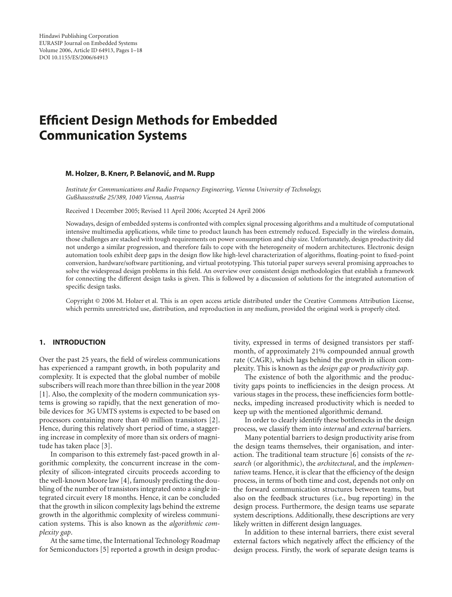# **Efficient Design Methods for Embedded Communication Systems**

## **M. Holzer, B. Knerr, P. Belanovic, and M. Rupp ´**

*Institute for Communications and Radio Frequency Engineering, Vienna University of Technology, Gu*ß*hausstra*ß*e 25/389, 1040 Vienna, Austria*

Received 1 December 2005; Revised 11 April 2006; Accepted 24 April 2006

Nowadays, design of embedded systems is confronted with complex signal processing algorithms and a multitude of computational intensive multimedia applications, while time to product launch has been extremely reduced. Especially in the wireless domain, those challenges are stacked with tough requirements on power consumption and chip size. Unfortunately, design productivity did not undergo a similar progression, and therefore fails to cope with the heterogeneity of modern architectures. Electronic design automation tools exhibit deep gaps in the design flow like high-level characterization of algorithms, floating-point to fixed-point conversion, hardware/software partitioning, and virtual prototyping. This tutorial paper surveys several promising approaches to solve the widespread design problems in this field. An overview over consistent design methodologies that establish a framework for connecting the different design tasks is given. This is followed by a discussion of solutions for the integrated automation of specific design tasks.

Copyright © 2006 M. Holzer et al. This is an open access article distributed under the Creative Commons Attribution License, which permits unrestricted use, distribution, and reproduction in any medium, provided the original work is properly cited.

# **1. INTRODUCTION**

Over the past 25 years, the field of wireless communications has experienced a rampant growth, in both popularity and complexity. It is expected that the global number of mobile subscribers will reach more than three billion in the year 2008 [\[1\]](#page-14-1). Also, the complexity of the modern communication systems is growing so rapidly, that the next generation of mobile devices for 3G UMTS systems is expected to be based on processors containing more than 40 million transistors [\[2](#page-14-2)]. Hence, during this relatively short period of time, a staggering increase in complexity of more than six orders of magnitude has taken place [\[3\]](#page-14-3).

In comparison to this extremely fast-paced growth in algorithmic complexity, the concurrent increase in the complexity of silicon-integrated circuits proceeds according to the well-known Moore law [\[4\]](#page-14-4), famously predicting the doubling of the number of transistors integrated onto a single integrated circuit every 18 months. Hence, it can be concluded that the growth in silicon complexity lags behind the extreme growth in the algorithmic complexity of wireless communication systems. This is also known as the *algorithmic complexity gap*.

At the same time, the International Technology Roadmap for Semiconductors [\[5](#page-14-5)] reported a growth in design productivity, expressed in terms of designed transistors per staffmonth, of approximately 21% compounded annual growth rate (CAGR), which lags behind the growth in silicon complexity. This is known as the *design gap* or *productivity gap*.

The existence of both the algorithmic and the productivity gaps points to inefficiencies in the design process. At various stages in the process, these inefficiencies form bottlenecks, impeding increased productivity which is needed to keep up with the mentioned algorithmic demand.

In order to clearly identify these bottlenecks in the design process, we classify them into *internal* and *external* barriers.

Many potential barriers to design productivity arise from the design teams themselves, their organisation, and interaction. The traditional team structure [\[6](#page-14-6)] consists of the *research* (or algorithmic), the *architectural*, and the *implementation* teams. Hence, it is clear that the efficiency of the design process, in terms of both time and cost, depends not only on the forward communication structures between teams, but also on the feedback structures (i.e., bug reporting) in the design process. Furthermore, the design teams use separate system descriptions. Additionally, these descriptions are very likely written in different design languages.

In addition to these internal barriers, there exist several external factors which negatively affect the efficiency of the design process. Firstly, the work of separate design teams is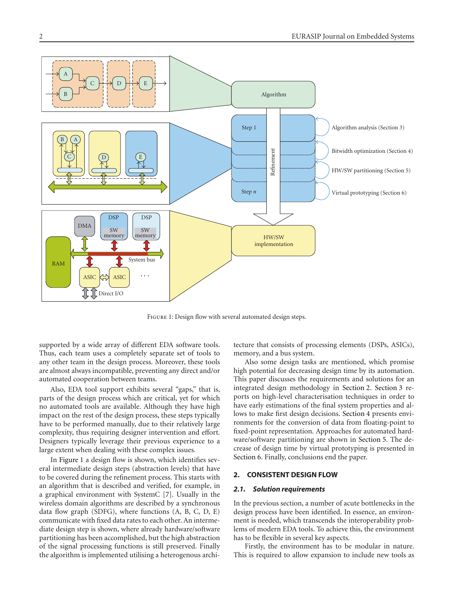

<span id="page-1-0"></span>FIGURE 1: Design flow with several automated design steps.

supported by a wide array of different EDA software tools. Thus, each team uses a completely separate set of tools to any other team in the design process. Moreover, these tools are almost always incompatible, preventing any direct and/or automated cooperation between teams.

Also, EDA tool support exhibits several "gaps," that is, parts of the design process which are critical, yet for which no automated tools are available. Although they have high impact on the rest of the design process, these steps typically have to be performed manually, due to their relatively large complexity, thus requiring designer intervention and effort. Designers typically leverage their previous experience to a large extent when dealing with these complex issues.

In [Figure 1](#page-1-0) a design flow is shown, which identifies several intermediate design steps (abstraction levels) that have to be covered during the refinement process. This starts with an algorithm that is described and verified, for example, in a graphical environment with SystemC [\[7\]](#page-14-7). Usually in the wireless domain algorithms are described by a synchronous data flow graph (SDFG), where functions (A, B, C, D, E) communicate with fixed data rates to each other. An intermediate design step is shown, where already hardware/software partitioning has been accomplished, but the high abstraction of the signal processing functions is still preserved. Finally the algorithm is implemented utilising a heterogenous architecture that consists of processing elements (DSPs, ASICs), memory, and a bus system.

Also some design tasks are mentioned, which promise high potential for decreasing design time by its automation. This paper discusses the requirements and solutions for an integrated design methodology in [Section 2.](#page-1-1) [Section 3](#page-3-0) reports on high-level characterisation techniques in order to have early estimations of the final system properties and allows to make first design decisions. [Section 4](#page-5-0) presents environments for the conversion of data from floating-point to fixed-point representation. Approaches for automated hardware/software partitioning are shown in [Section 5.](#page-8-0) The decrease of design time by virtual prototyping is presented in [Section 6.](#page-12-0) Finally, conclusions end the paper.

# <span id="page-1-2"></span><span id="page-1-1"></span>**2. CONSISTENT DESIGN FLOW**

# *2.1. Solution requirements*

In the previous section, a number of acute bottlenecks in the design process have been identified. In essence, an environment is needed, which transcends the interoperability problems of modern EDA tools. To achieve this, the environment has to be flexible in several key aspects.

Firstly, the environment has to be modular in nature. This is required to allow expansion to include new tools as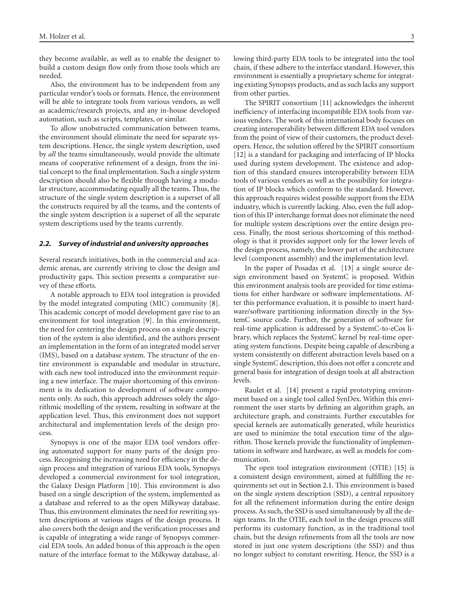they become available, as well as to enable the designer to build a custom design flow only from those tools which are needed.

Also, the environment has to be independent from any particular vendor's tools or formats. Hence, the environment will be able to integrate tools from various vendors, as well as academic/research projects, and any in-house developed automation, such as scripts, templates, or similar.

To allow unobstructed communication between teams, the environment should eliminate the need for separate system descriptions. Hence, the single system description, used by *all* the teams simultaneously, would provide the ultimate means of cooperative refinement of a design, from the initial concept to the final implementation. Such a single system description should also be flexible through having a modular structure, accommodating equally all the teams. Thus, the structure of the single system description is a superset of all the constructs required by all the teams, and the contents of the single system description is a superset of all the separate system descriptions used by the teams currently.

# *2.2. Survey of industrial and university approaches*

Several research initiatives, both in the commercial and academic arenas, are currently striving to close the design and productivity gaps. This section presents a comparative survey of these efforts.

A notable approach to EDA tool integration is provided by the model integrated computing (MIC) community [\[8](#page-15-0)]. This academic concept of model development gave rise to an environment for tool integration [\[9](#page-15-1)]. In this environment, the need for centering the design process on a single description of the system is also identified, and the authors present an implementation in the form of an integrated model server (IMS), based on a database system. The structure of the entire environment is expandable and modular in structure, with each new tool introduced into the environment requiring a new interface. The major shortcoming of this environment is its dedication to development of software components only. As such, this approach addresses solely the algorithmic modelling of the system, resulting in software at the application level. Thus, this environment does not support architectural and implementation levels of the design process.

Synopsys is one of the major EDA tool vendors offering automated support for many parts of the design process. Recognising the increasing need for efficiency in the design process and integration of various EDA tools, Synopsys developed a commercial environment for tool integration, the Galaxy Design Platform [\[10\]](#page-15-2). This environment is also based on a single description of the system, implemented as a database and referred to as the open Milkyway database. Thus, this environment eliminates the need for rewriting system descriptions at various stages of the design process. It also covers both the design and the verification processes and is capable of integrating a wide range of Synopsys commercial EDA tools. An added bonus of this approach is the open nature of the interface format to the Milkyway database, allowing third-party EDA tools to be integrated into the tool chain, if these adhere to the interface standard. However, this environment is essentially a proprietary scheme for integrating existing Synopsys products, and as such lacks any support from other parties.

The SPIRIT consortium [\[11](#page-15-3)] acknowledges the inherent inefficiency of interfacing incompatible EDA tools from various vendors. The work of this international body focuses on creating interoperability between different EDA tool vendors from the point of view of their customers, the product developers. Hence, the solution offered by the SPIRIT consortium [\[12](#page-15-4)] is a standard for packaging and interfacing of IP blocks used during system development. The existence and adoption of this standard ensures interoperability between EDA tools of various vendors as well as the possibility for integration of IP blocks which conform to the standard. However, this approach requires widest possible support from the EDA industry, which is currently lacking. Also, even the full adoption of this IP interchange format does not eliminate the need for multiple system descriptions over the entire design process. Finally, the most serious shortcoming of this methodology is that it provides support only for the lower levels of the design process, namely, the lower part of the architecture level (component assembly) and the implementation level.

In the paper of Posadas et al. [\[13](#page-15-5)] a single source design environment based on SystemC is proposed. Within this environment analysis tools are provided for time estimations for either hardware or software implementations. After this performance evaluation, it is possible to insert hardware/software partitioning information directly in the SystemC source code. Further, the generation of software for real-time application is addressed by a SystemC-to-eCos library, which replaces the SystemC kernel by real-time operating system functions. Despite being capable of describing a system consistently on different abstraction levels based on a single SystemC description, this does not offer a concrete and general basis for integration of design tools at all abstraction levels.

Raulet et al. [\[14](#page-15-6)] present a rapid prototyping environment based on a single tool called SynDex. Within this environment the user starts by defining an algorithm graph, an architecture graph, and constraints. Further executables for special kernels are automatically generated, while heuristics are used to minimize the total execution time of the algorithm. Those kernels provide the functionality of implementations in software and hardware, as well as models for communication.

The open tool integration environment (OTIE) [\[15\]](#page-15-7) is a consistent design environment, aimed at fulfilling the requirements set out in [Section 2.1.](#page-1-2) This environment is based on the single system description (SSD), a central repository for all the refinement information during the entire design process. As such, the SSD is used simultaneously by all the design teams. In the OTIE, each tool in the design process still performs its customary function, as in the traditional tool chain, but the design refinements from all the tools are now stored in just one system descriptions (the SSD) and thus no longer subject to constant rewriting. Hence, the SSD is a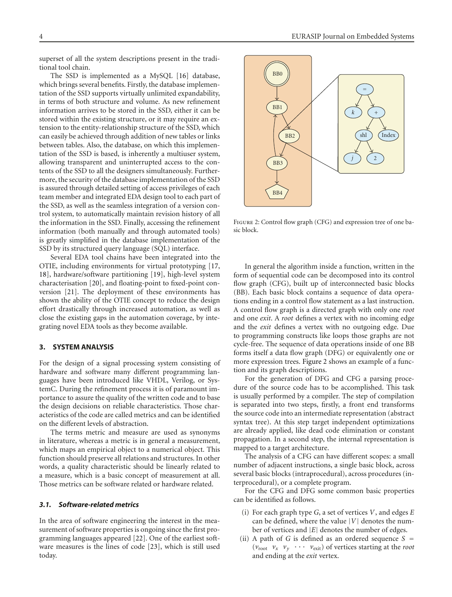superset of all the system descriptions present in the traditional tool chain.

The SSD is implemented as a MySQL [\[16](#page-15-8)] database, which brings several benefits. Firstly, the database implementation of the SSD supports virtually unlimited expandability, in terms of both structure and volume. As new refinement information arrives to be stored in the SSD, either it can be stored within the existing structure, or it may require an extension to the entity-relationship structure of the SSD, which can easily be achieved through addition of new tables or links between tables. Also, the database, on which this implementation of the SSD is based, is inherently a multiuser system, allowing transparent and uninterrupted access to the contents of the SSD to all the designers simultaneously. Furthermore, the security of the database implementation of the SSD is assured through detailed setting of access privileges of each team member and integrated EDA design tool to each part of the SSD, as well as the seamless integration of a version control system, to automatically maintain revision history of all the information in the SSD. Finally, accessing the refinement information (both manually and through automated tools) is greatly simplified in the database implementation of the SSD by its structured query language (SQL) interface.

Several EDA tool chains have been integrated into the OTIE, including environments for virtual prototyping [\[17,](#page-15-9) [18\]](#page-15-10), hardware/software partitioning [\[19](#page-15-11)], high-level system characterisation [\[20\]](#page-15-12), and floating-point to fixed-point conversion [\[21\]](#page-15-13). The deployment of these environments has shown the ability of the OTIE concept to reduce the design effort drastically through increased automation, as well as close the existing gaps in the automation coverage, by integrating novel EDA tools as they become available.

# <span id="page-3-0"></span>**3. SYSTEM ANALYSIS**

For the design of a signal processing system consisting of hardware and software many different programming languages have been introduced like VHDL, Verilog, or SystemC. During the refinement process it is of paramount importance to assure the quality of the written code and to base the design decisions on reliable characteristics. Those characteristics of the code are called metrics and can be identified on the different levels of abstraction.

The terms metric and measure are used as synonyms in literature, whereas a metric is in general a measurement, which maps an empirical object to a numerical object. This function should preserve all relations and structures. In other words, a quality characteristic should be linearly related to a measure, which is a basic concept of measurement at all. Those metrics can be software related or hardware related.

# <span id="page-3-2"></span>*3.1. Software-related metrics*

In the area of software engineering the interest in the measurement of software properties is ongoing since the first programming languages appeared [\[22\]](#page-15-14). One of the earliest software measures is the lines of code [\[23](#page-15-15)], which is still used today.



<span id="page-3-1"></span>FIGURE 2: Control flow graph (CFG) and expression tree of one basic block.

In general the algorithm inside a function, written in the form of sequential code can be decomposed into its control flow graph (CFG), built up of interconnected basic blocks (BB). Each basic block contains a sequence of data operations ending in a control flow statement as a last instruction. A control flow graph is a directed graph with only one *root* and one *exit*. A *root* defines a vertex with no incoming edge and the *exit* defines a vertex with no outgoing edge. Due to programming constructs like loops those graphs are not cycle-free. The sequence of data operations inside of one BB forms itself a data flow graph (DFG) or equivalently one or more expression trees. [Figure 2](#page-3-1) shows an example of a function and its graph descriptions.

For the generation of DFG and CFG a parsing procedure of the source code has to be accomplished. This task is usually performed by a compiler. The step of compilation is separated into two steps, firstly, a front end transforms the source code into an intermediate representation (abstract syntax tree). At this step target independent optimizations are already applied, like dead code elimination or constant propagation. In a second step, the internal representation is mapped to a target architecture.

The analysis of a CFG can have different scopes: a small number of adjacent instructions, a single basic block, across several basic blocks (intraprocedural), across procedures (interprocedural), or a complete program.

For the CFG and DFG some common basic properties can be identified as follows.

- (i) For each graph type *G*, a set of vertices *V*, and edges *E* can be defined, where the value <sup>|</sup>*V*<sup>|</sup> denotes the number of vertices and <sup>|</sup>*E*<sup>|</sup> denotes the number of edges.
- (ii) A path of *G* is defined as an ordered sequence  $S =$ ( $v_{\text{root}}$   $v_x$   $v_y$   $\cdots$   $v_{\text{exit}}$ ) of vertices starting at the *root* and ending at the *exit* vertex.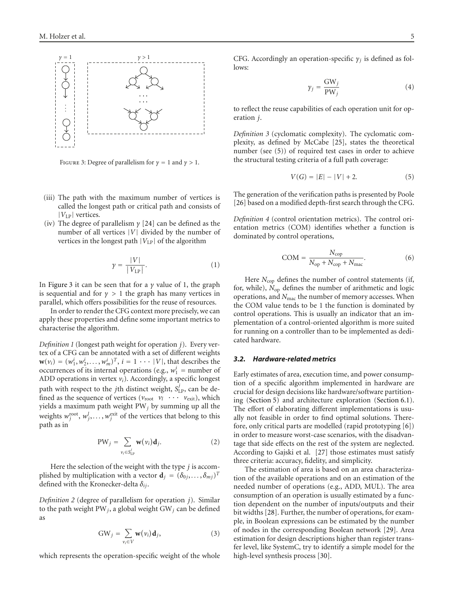

<span id="page-4-0"></span>FIGURE 3: Degree of parallelism for  $\gamma = 1$  and  $\gamma > 1$ .

- (iii) The path with the maximum number of vertices is called the longest path or critical path and consists of <sup>|</sup>*V*LP<sup>|</sup> vertices.
- (iv) The degree of parallelism *γ* [\[24\]](#page-15-16) can be defined as the number of all vertices <sup>|</sup>*V*<sup>|</sup> divided by the number of vertices in the longest path <sup>|</sup>*V*LP<sup>|</sup> of the algorithm

$$
\gamma = \frac{|V|}{|V_{\rm LP}|}.\tag{1}
$$

In [Figure 3](#page-4-0) it can be seen that for a *γ* value of 1, the graph is sequential and for  $\gamma > 1$  the graph has many vertices in parallel, which offers possibilities for the reuse of resources.

In order to render the CFG context more precisely, we can apply these properties and define some important metrics to characterise the algorithm.

*Definition 1* (longest path weight for operation *j*). Every vertex of a CFG can be annotated with a set of different weights  $\mathbf{w}(v_i) = (w_1^i, w_2^i, \dots, w_m^i)^T$ ,  $i = 1 \cdots |V|$ , that describes the occurrences of its internal operations (e.g.,  $w_1^i$  = number of ADD operations in vertex *vi*). Accordingly, a specific longest path with respect to the *j*th distinct weight,  $S_{LP}^j$ , can be defined as the sequence of vertices ( $v_{\text{root}}$   $v_l$   $\cdots$   $v_{\text{exit}}$ ), which yields a maximum path weight PW*<sup>j</sup>* by summing up all the weights  $w_i^{\text{root}}, w_j^l, \ldots, w_j^{\text{exit}}$  of the vertices that belong to this path as in

$$
PW_j = \sum_{v_i \in S_{LP}^j} \mathbf{w}(v_i) \mathbf{d}_j.
$$
 (2)

Here the selection of the weight with the type *j* is accomplished by multiplication with a vector  $\mathbf{d}_j = (\delta_{0j}, \dots, \delta_{mj})^T$ defined with the Kronecker-delta *δij*.

*Definition 2* (degree of parallelism for operation *j*). Similar to the path weight PW*j*, a global weight GW*<sup>j</sup>* can be defined as

$$
GW_j = \sum_{v_i \in V} \mathbf{w}(v_i) \mathbf{d}_j,
$$
 (3)

which represents the operation-specific weight of the whole

CFG. Accordingly an operation-specific *γj* is defined as follows:

$$
\gamma_j = \frac{GW_j}{PW_j} \tag{4}
$$

eration *j*.

*Definition 3* (cyclomatic complexity). The cyclomatic complexity, as defined by McCabe [\[25](#page-15-17)], states the theoretical number (see [\(5\)](#page-4-1)) of required test cases in order to achieve the structural testing criteria of a full path coverage:

<span id="page-4-1"></span>
$$
V(G) = |E| - |V| + 2.
$$
 (5)

The generation of the verification paths is presented by Poole [\[26](#page-15-18)] based on a modified depth-first search through the CFG.

*Definition 4* (control orientation metrics). The control orientation metrics (COM) identifies whether a function is dominated by control operations,

$$
COM = \frac{N_{\text{cop}}}{N_{\text{op}} + N_{\text{cop}} + N_{\text{mac}}}.\tag{6}
$$

Here  $N_{\text{cop}}$  defines the number of control statements (if, for, while), *N*op defines the number of arithmetic and logic operations, and *N*mac the number of memory accesses. When the COM value tends to be 1 the function is dominated by control operations. This is usually an indicator that an implementation of a control-oriented algorithm is more suited for running on a controller than to be implemented as dedicated hardware.

#### *3.2. Hardware-related metrics*

Early estimates of area, execution time, and power consumption of a specific algorithm implemented in hardware are crucial for design decisions like hardware/software partitioning [\(Section 5\)](#page-8-0) and architecture exploration [\(Section 6.1\)](#page-12-1). The effort of elaborating different implementations is usually not feasible in order to find optimal solutions. Therefore, only critical parts are modelled (rapid prototyping [\[6\]](#page-14-6)) in order to measure worst-case scenarios, with the disadvantage that side effects on the rest of the system are neglected. According to Gajski et al. [\[27\]](#page-15-19) those estimates must satisfy three criteria: accuracy, fidelity, and simplicity.

The estimation of area is based on an area characterization of the available operations and on an estimation of the needed number of operations (e.g., ADD, MUL). The area consumption of an operation is usually estimated by a function dependent on the number of inputs/outputs and their bit widths [\[28\]](#page-15-20). Further, the number of operations, for example, in Boolean expressions can be estimated by the number of nodes in the corresponding Boolean network [\[29](#page-15-21)]. Area estimation for design descriptions higher than register transfer level, like SystemC, try to identify a simple model for the high-level synthesis process [\[30\]](#page-15-22).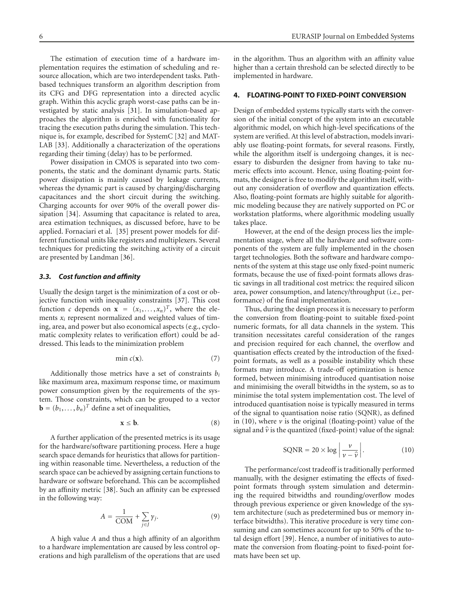The estimation of execution time of a hardware implementation requires the estimation of scheduling and resource allocation, which are two interdependent tasks. Pathbased techniques transform an algorithm description from its CFG and DFG representation into a directed acyclic graph. Within this acyclic graph worst-case paths can be investigated by static analysis [\[31\]](#page-15-23). In simulation-based approaches the algorithm is enriched with functionality for tracing the execution paths during the simulation. This technique is, for example, described for SystemC [\[32](#page-15-24)] and MAT-LAB [\[33](#page-15-25)]. Additionally a characterization of the operations regarding their timing (delay) has to be performed.

Power dissipation in CMOS is separated into two components, the static and the dominant dynamic parts. Static power dissipation is mainly caused by leakage currents, whereas the dynamic part is caused by charging/discharging capacitances and the short circuit during the switching. Charging accounts for over 90% of the overall power dissipation [\[34\]](#page-15-26). Assuming that capacitance is related to area, area estimation techniques, as discussed before, have to be applied. Fornaciari et al. [\[35](#page-15-27)] present power models for different functional units like registers and multiplexers. Several techniques for predicting the switching activity of a circuit are presented by Landman [\[36\]](#page-15-28).

## <span id="page-5-2"></span>*3.3. Cost function and affinity*

Usually the design target is the minimization of a cost or objective function with inequality constraints [\[37](#page-15-29)]. This cost function *c* depends on  $\mathbf{x} = (x_1, \dots, x_n)^T$ , where the elements *xi* represent normalized and weighted values of timing, area, and power but also economical aspects (e.g., cyclomatic complexity relates to verification effort) could be addressed. This leads to the minimization problem

$$
\min c(\mathbf{x}).\tag{7}
$$

Additionally those metrics have a set of constraints *bi* like maximum area, maximum response time, or maximum power consumption given by the requirements of the system. Those constraints, which can be grouped to a vector  $\mathbf{b} = (b_1, \ldots, b_n)^T$  define a set of inequalities,

$$
\mathbf{x} \leq \mathbf{b}.\tag{8}
$$

A further application of the presented metrics is its usage for the hardware/software partitioning process. Here a huge search space demands for heuristics that allows for partitioning within reasonable time. Nevertheless, a reduction of the search space can be achieved by assigning certain functions to hardware or software beforehand. This can be accomplished by an affinity metric [\[38](#page-15-30)]. Such an affinity can be expressed in the following way:

$$
A = \frac{1}{COM} + \sum_{j \in J} \gamma_j.
$$
 (9)

A high value *A* and thus a high affinity of an algorithm to a hardware implementation are caused by less control operations and high parallelism of the operations that are used in the algorithm. Thus an algorithm with an affinity value higher than a certain threshold can be selected directly to be implemented in hardware.

# <span id="page-5-0"></span>**4. FLOATING-POINT TO FIXED-POINT CONVERSION**

Design of embedded systems typically starts with the conversion of the initial concept of the system into an executable algorithmic model, on which high-level specifications of the system are verified. At this level of abstraction, models invariably use floating-point formats, for several reasons. Firstly, while the algorithm itself is undergoing changes, it is necessary to disburden the designer from having to take numeric effects into account. Hence, using floating-point formats, the designer is free to modify the algorithm itself, without any consideration of overflow and quantization effects. Also, floating-point formats are highly suitable for algorithmic modeling because they are natively supported on PC or workstation platforms, where algorithmic modeling usually takes place.

However, at the end of the design process lies the implementation stage, where all the hardware and software components of the system are fully implemented in the chosen target technologies. Both the software and hardware components of the system at this stage use only fixed-point numeric formats, because the use of fixed-point formats allows drastic savings in all traditional cost metrics: the required silicon area, power consumption, and latency/throughput (i.e., performance) of the final implementation.

Thus, during the design process it is necessary to perform the conversion from floating-point to suitable fixed-point numeric formats, for all data channels in the system. This transition necessitates careful consideration of the ranges and precision required for each channel, the overflow and quantisation effects created by the introduction of the fixedpoint formats, as well as a possible instability which these formats may introduce. A trade-off optimization is hence formed, between minimising introduced quantisation noise and minimising the overall bitwidths in the system, so as to minimise the total system implementation cost. The level of introduced quantisation noise is typically measured in terms of the signal to quantisation noise ratio (SQNR), as defined in  $(10)$ , where  $\nu$  is the original (floating-point) value of the signal and  $\hat{v}$  is the quantized (fixed-point) value of the signal:

<span id="page-5-1"></span>
$$
SQNR = 20 \times \log \left| \frac{\nu}{\nu - \hat{\nu}} \right|.
$$
 (10)

The performance/cost tradeoff is traditionally performed manually, with the designer estimating the effects of fixedpoint formats through system simulation and determining the required bitwidths and rounding/overflow modes through previous experience or given knowledge of the system architecture (such as predetermined bus or memory interface bitwidths). This iterative procedure is very time consuming and can sometimes account for up to 50% of the total design effort [\[39\]](#page-15-31). Hence, a number of initiatives to automate the conversion from floating-point to fixed-point formats have been set up.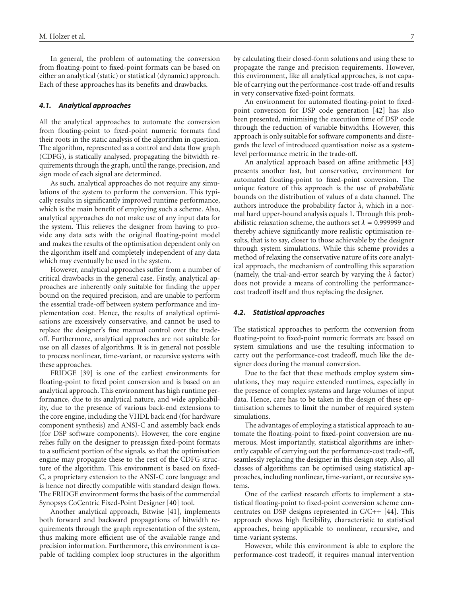In general, the problem of automating the conversion from floating-point to fixed-point formats can be based on either an analytical (static) or statistical (dynamic) approach. Each of these approaches has its benefits and drawbacks.

#### *4.1. Analytical approaches*

All the analytical approaches to automate the conversion from floating-point to fixed-point numeric formats find their roots in the static analysis of the algorithm in question. The algorithm, represented as a control and data flow graph (CDFG), is statically analysed, propagating the bitwidth requirements through the graph, until the range, precision, and sign mode of each signal are determined.

As such, analytical approaches do not require any simulations of the system to perform the conversion. This typically results in significantly improved runtime performance, which is the main benefit of employing such a scheme. Also, analytical approaches do not make use of any input data for the system. This relieves the designer from having to provide any data sets with the original floating-point model and makes the results of the optimisation dependent only on the algorithm itself and completely independent of any data which may eventually be used in the system.

However, analytical approaches suffer from a number of critical drawbacks in the general case. Firstly, analytical approaches are inherently only suitable for finding the upper bound on the required precision, and are unable to perform the essential trade-off between system performance and implementation cost. Hence, the results of analytical optimisations are excessively conservative, and cannot be used to replace the designer's fine manual control over the tradeoff. Furthermore, analytical approaches are not suitable for use on all classes of algorithms. It is in general not possible to process nonlinear, time-variant, or recursive systems with these approaches.

FRIDGE [\[39](#page-15-31)] is one of the earliest environments for floating-point to fixed point conversion and is based on an analytical approach. This environment has high runtime performance, due to its analytical nature, and wide applicability, due to the presence of various back-end extensions to the core engine, including the VHDL back end (for hardware component synthesis) and ANSI-C and assembly back ends (for DSP software components). However, the core engine relies fully on the designer to preassign fixed-point formats to a sufficient portion of the signals, so that the optimisation engine may propagate these to the rest of the CDFG structure of the algorithm. This environment is based on fixed-C, a proprietary extension to the ANSI-C core language and is hence not directly compatible with standard design flows. The FRIDGE environment forms the basis of the commercial Synopsys CoCentric Fixed-Point Designer [\[40\]](#page-15-32) tool.

Another analytical approach, Bitwise [\[41](#page-16-0)], implements both forward and backward propagations of bitwidth requirements through the graph representation of the system, thus making more efficient use of the available range and precision information. Furthermore, this environment is capable of tackling complex loop structures in the algorithm by calculating their closed-form solutions and using these to propagate the range and precision requirements. However, this environment, like all analytical approaches, is not capable of carrying out the performance-cost trade-off and results in very conservative fixed-point formats.

An environment for automated floating-point to fixedpoint conversion for DSP code generation [\[42](#page-16-1)] has also been presented, minimising the execution time of DSP code through the reduction of variable bitwidths. However, this approach is only suitable for software components and disregards the level of introduced quantisation noise as a systemlevel performance metric in the trade-off.

An analytical approach based on affine arithmetic [\[43\]](#page-16-2) presents another fast, but conservative, environment for automated floating-point to fixed-point conversion. The unique feature of this approach is the use of *probabilistic* bounds on the distribution of values of a data channel. The authors introduce the probability factor  $\lambda$ , which in a normal hard upper-bound analysis equals 1. Through this probabilistic relaxation scheme, the authors set  $\lambda = 0.999999$  and thereby achieve significantly more realistic optimisation results, that is to say, closer to those achievable by the designer through system simulations. While this scheme provides a method of relaxing the conservative nature of its core analytical approach, the mechanism of controlling this separation (namely, the trial-and-error search by varying the *λ* factor) does not provide a means of controlling the performancecost tradeoff itself and thus replacing the designer.

# *4.2. Statistical approaches*

The statistical approaches to perform the conversion from floating-point to fixed-point numeric formats are based on system simulations and use the resulting information to carry out the performance-cost tradeoff, much like the designer does during the manual conversion.

Due to the fact that these methods employ system simulations, they may require extended runtimes, especially in the presence of complex systems and large volumes of input data. Hence, care has to be taken in the design of these optimisation schemes to limit the number of required system simulations.

The advantages of employing a statistical approach to automate the floating-point to fixed-point conversion are numerous. Most importantly, statistical algorithms are inherently capable of carrying out the performance-cost trade-off, seamlessly replacing the designer in this design step. Also, all classes of algorithms can be optimised using statistical approaches, including nonlinear, time-variant, or recursive systems.

One of the earliest research efforts to implement a statistical floating-point to fixed-point conversion scheme concentrates on DSP designs represented in C/C++ [\[44](#page-16-3)]. This approach shows high flexibility, characteristic to statistical approaches, being applicable to nonlinear, recursive, and time-variant systems.

However, while this environment is able to explore the performance-cost tradeoff, it requires manual intervention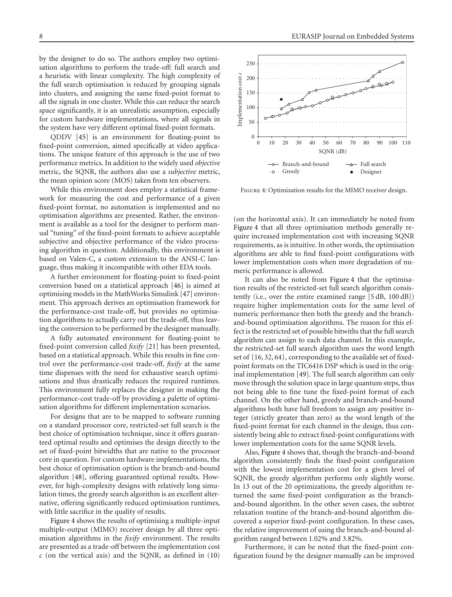by the designer to do so. The authors employ two optimisation algorithms to perform the trade-off: full search and a heuristic with linear complexity. The high complexity of the full search optimisation is reduced by grouping signals into clusters, and assigning the same fixed-point format to all the signals in one cluster. While this can reduce the search space significantly, it is an unrealistic assumption, especially for custom hardware implementations, where all signals in the system have very different optimal fixed-point formats.

QDDV [\[45\]](#page-16-4) is an environment for floating-point to fixed-point conversion, aimed specifically at video applications. The unique feature of this approach is the use of two performance metrics. In addition to the widely used *objective* metric, the SQNR, the authors also use a *subjective* metric, the mean opinion score (MOS) taken from ten observers.

While this environment does employ a statistical framework for measuring the cost and performance of a given fixed-point format, no automation is implemented and no optimisation algorithms are presented. Rather, the environment is available as a tool for the designer to perform manual "tuning" of the fixed-point formats to achieve acceptable subjective and objective performance of the video processing algorithm in question. Additionally, this environment is based on Valen-C, a custom extension to the ANSI-C language, thus making it incompatible with other EDA tools.

A further environment for floating-point to fixed-point conversion based on a statistical approach [\[46](#page-16-5)] is aimed at optimising models in the MathWorks Simulink [\[47](#page-16-6)] environment. This approach derives an optimisation framework for the performance-cost trade-off, but provides no optimisation algorithms to actually carry out the trade-off, thus leaving the conversion to be performed by the designer manually.

A fully automated environment for floating-point to fixed-point conversion called *fixify* [\[21](#page-15-13)] has been presented, based on a statistical approach. While this results in fine control over the performance-cost trade-off, *fixify* at the same time dispenses with the need for exhaustive search optimisations and thus drastically reduces the required runtimes. This environment fully replaces the designer in making the performance-cost trade-off by providing a palette of optimisation algorithms for different implementation scenarios.

For designs that are to be mapped to software running on a standard processor core, restricted-set full search is the best choice of optimisation technique, since it offers guaranteed optimal results and optimises the design directly to the set of fixed-point bitwidths that are native to the processor core in question. For custom hardware implementations, the best choice of optimisation option is the branch-and-bound algorithm [\[48\]](#page-16-7), offering guaranteed optimal results. However, for high-complexity designs with relatively long simulation times, the greedy search algorithm is an excellent alternative, offering significantly reduced optimisation runtimes, with little sacrifice in the quality of results.

[Figure 4](#page-7-0) shows the results of optimising a multiple-input multiple-output (MIMO) receiver design by all three optimisation algorithms in the *fixify* environment. The results are presented as a trade-off between the implementation cost *c* (on the vertical axis) and the SQNR, as defined in [\(10\)](#page-5-1)



<span id="page-7-0"></span>Figure 4: Optimization results for the MIMO receiver design.

(on the horizontal axis). It can immediately be noted from [Figure 4](#page-7-0) that all three optimisation methods generally require increased implementation cost with increasing SQNR requirements, as is intuitive. In other words, the optimisation algorithms are able to find fixed-point configurations with lower implementation costs when more degradation of numeric performance is allowed.

It can also be noted from [Figure 4](#page-7-0) that the optimisation results of the restricted-set full search algorithm consistently (i.e., over the entire examined range [5 dB, 100 dB]) require higher implementation costs for the same level of numeric performance then both the greedy and the branchand-bound optimisation algorithms. The reason for this effect is the restricted set of possible bitwiths that the full search algorithm can assign to each data channel. In this example, the restricted-set full search algorithm uses the word length set of {16, 32, 64}, corresponding to the available set of fixedpoint formats on the TIC6416 DSP which is used in the original implementation [\[49\]](#page-16-8). The full search algorithm can only move through the solution space in large quantum steps, thus not being able to fine tune the fixed-point format of each channel. On the other hand, greedy and branch-and-bound algorithms both have full freedom to assign any positive integer (strictly greater than zero) as the word length of the fixed-point format for each channel in the design, thus consistently being able to extract fixed-point configurations with lower implementation costs for the same SQNR levels.

Also, [Figure 4](#page-7-0) shows that, though the branch-and-bound algorithm consistently finds the fixed-point configuration with the lowest implementation cost for a given level of SQNR, the greedy algorithm performs only slightly worse. In 13 out of the 20 optimizations, the greedy algorithm returned the same fixed-point configuration as the branchand-bound algorithm. In the other seven cases, the subtree relaxation routine of the branch-and-bound algorithm discovered a superior fixed-point configuration. In these cases, the relative improvement of using the branch-and-bound algorithm ranged between 1*.*02% and 3*.*82%.

Furthermore, it can be noted that the fixed-point configuration found by the designer manually can be improved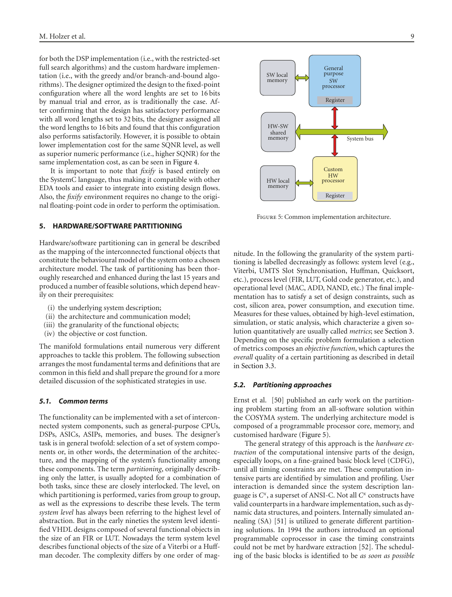for both the DSP implementation (i.e., with the restricted-set full search algorithms) and the custom hardware implementation (i.e., with the greedy and/or branch-and-bound algorithms). The designer optimized the design to the fixed-point configuration where all the word lenghts are set to 16 bits by manual trial and error, as is traditionally the case. After confirming that the design has satisfactory performance with all word lengths set to 32 bits, the designer assigned all the word lengths to 16 bits and found that this configuration also performs satisfactorily. However, it is possible to obtain lower implementation cost for the same SQNR level, as well as superior numeric performance (i.e., higher SQNR) for the same implementation cost, as can be seen in [Figure 4.](#page-7-0)

It is important to note that *fixify* is based entirely on the SystemC language, thus making it compatible with other EDA tools and easier to integrate into existing design flows. Also, the *fixify* environment requires no change to the original floating-point code in order to perform the optimisation.

#### <span id="page-8-0"></span>**5. HARDWARE/SOFTWARE PARTITIONING**

Hardware/software partitioning can in general be described as the mapping of the interconnected functional objects that constitute the behavioural model of the system onto a chosen architecture model. The task of partitioning has been thoroughly researched and enhanced during the last 15 years and produced a number of feasible solutions, which depend heavily on their prerequisites:

- (i) the underlying system description;
- (ii) the architecture and communication model;
- (iii) the granularity of the functional objects;
- (iv) the objective or cost function.

The manifold formulations entail numerous very different approaches to tackle this problem. The following subsection arranges the most fundamental terms and definitions that are common in this field and shall prepare the ground for a more detailed discussion of the sophisticated strategies in use.

#### *5.1. Common terms*

The functionality can be implemented with a set of interconnected system components, such as general-purpose CPUs, DSPs, ASICs, ASIPs, memories, and buses. The designer's task is in general twofold: selection of a set of system components or, in other words, the determination of the architecture, and the mapping of the system's functionality among these components. The term *partitioning*, originally describing only the latter, is usually adopted for a combination of both tasks, since these are closely interlocked. The level, on which partitioning is performed, varies from group to group, as well as the expressions to describe these levels. The term *system level* has always been referring to the highest level of abstraction. But in the early nineties the system level identified VHDL designs composed of several functional objects in the size of an FIR or LUT. Nowadays the term system level describes functional objects of the size of a Viterbi or a Huffman decoder. The complexity differs by one order of mag-



<span id="page-8-1"></span>Figure 5: Common implementation architecture.

nitude. In the following the granularity of the system partitioning is labelled decreasingly as follows: system level (e.g., Viterbi, UMTS Slot Synchronisation, Huffman, Quicksort, etc.), process level (FIR, LUT, Gold code generator, etc.), and operational level (MAC, ADD, NAND, etc.) The final implementation has to satisfy a set of design constraints, such as cost, silicon area, power consumption, and execution time. Measures for these values, obtained by high-level estimation, simulation, or static analysis, which characterize a given solution quantitatively are usually called *metrics*; see [Section 3.](#page-3-0) Depending on the specific problem formulation a selection of metrics composes an *objective function*, which captures the *overall* quality of a certain partitioning as described in detail in [Section 3.3.](#page-5-2)

## *5.2. Partitioning approaches*

Ernst et al. [\[50\]](#page-16-9) published an early work on the partitioning problem starting from an all-software solution within the COSYMA system. The underlying architecture model is composed of a programmable processor core, memory, and customised hardware [\(Figure 5\)](#page-8-1).

The general strategy of this approach is the *hardware extraction* of the computational intensive parts of the design, especially loops, on a fine-grained basic block level (CDFG), until all timing constraints are met. These computation intensive parts are identified by simulation and profiling. User interaction is demanded since the system description language is  $C^x$ , a superset of ANSI-C. Not all  $C^x$  constructs have valid counterparts in a hardware implementation, such as dynamic data structures, and pointers. Internally simulated annealing (SA) [\[51](#page-16-10)] is utilized to generate different partitioning solutions. In 1994 the authors introduced an optional programmable coprocessor in case the timing constraints could not be met by hardware extraction [\[52\]](#page-16-11). The scheduling of the basic blocks is identified to be *as soon as possible*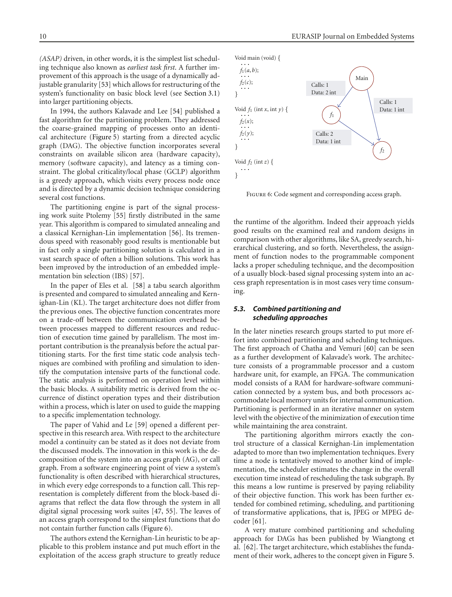*(ASAP)* driven, in other words, it is the simplest list scheduling technique also known as *earliest task first*. A further improvement of this approach is the usage of a dynamically adjustable granularity [\[53\]](#page-16-12) which allows for restructuring of the system's functionality on basic block level (see [Section 3.1\)](#page-3-2) into larger partitioning objects.

In 1994, the authors Kalavade and Lee [\[54\]](#page-16-13) published a fast algorithm for the partitioning problem. They addressed the coarse-grained mapping of processes onto an identical architecture [\(Figure 5\)](#page-8-1) starting from a directed acyclic graph (DAG). The objective function incorporates several constraints on available silicon area (hardware capacity), memory (software capacity), and latency as a timing constraint. The global criticality/local phase (GCLP) algorithm is a greedy approach, which visits every process node once and is directed by a dynamic decision technique considering several cost functions.

The partitioning engine is part of the signal processing work suite Ptolemy [\[55\]](#page-16-14) firstly distributed in the same year. This algorithm is compared to simulated annealing and a classical Kernighan-Lin implementation [\[56\]](#page-16-15). Its tremendous speed with reasonably good results is mentionable but in fact only a single partitioning solution is calculated in a vast search space of often a billion solutions. This work has been improved by the introduction of an embedded implementation bin selection (IBS) [\[57\]](#page-16-16).

In the paper of Eles et al. [\[58](#page-16-17)] a tabu search algorithm is presented and compared to simulated annealing and Kernighan-Lin (KL). The target architecture does not differ from the previous ones. The objective function concentrates more on a trade-off between the communication overhead between processes mapped to different resources and reduction of execution time gained by parallelism. The most important contribution is the preanalysis before the actual partitioning starts. For the first time static code analysis techniques are combined with profiling and simulation to identify the computation intensive parts of the functional code. The static analysis is performed on operation level within the basic blocks. A suitability metric is derived from the occurrence of distinct operation types and their distribution within a process, which is later on used to guide the mapping to a specific implementation technology.

The paper of Vahid and Le [\[59](#page-16-18)] opened a different perspective in this research area. With respect to the architecture model a continuity can be stated as it does not deviate from the discussed models. The innovation in this work is the decomposition of the system into an access graph (AG), or call graph. From a software engineering point of view a system's functionality is often described with hierarchical structures, in which every edge corresponds to a function call. This representation is completely different from the block-based diagrams that reflect the data flow through the system in all digital signal processing work suites [\[47](#page-16-6), [55\]](#page-16-14). The leaves of an access graph correspond to the simplest functions that do not contain further function calls [\(Figure 6\)](#page-9-0).

The authors extend the Kernighan-Lin heuristic to be applicable to this problem instance and put much effort in the exploitation of the access graph structure to greatly reduce



Figure 6: Code segment and corresponding access graph.

<span id="page-9-0"></span>the runtime of the algorithm. Indeed their approach yields good results on the examined real and random designs in comparison with other algorithms, like SA, greedy search, hierarchical clustering, and so forth. Nevertheless, the assignment of function nodes to the programmable component lacks a proper scheduling technique, and the decomposition of a usually block-based signal processing system into an access graph representation is in most cases very time consuming.

# *5.3. Combined partitioning and scheduling approaches*

In the later nineties research groups started to put more effort into combined partitioning and scheduling techniques. The first approach of Chatha and Vemuri [\[60](#page-16-19)] can be seen as a further development of Kalavade's work. The architecture consists of a programmable processor and a custom hardware unit, for example, an FPGA. The communication model consists of a RAM for hardware-software communication connected by a system bus, and both processors accommodate local memory units for internal communication. Partitioning is performed in an iterative manner on system level with the objective of the minimization of execution time while maintaining the area constraint.

The partitioning algorithm mirrors exactly the control structure of a classical Kernighan-Lin implementation adapted to more than two implementation techniques. Every time a node is tentatively moved to another kind of implementation, the scheduler estimates the change in the overall execution time instead of rescheduling the task subgraph. By this means a low runtime is preserved by paying reliability of their objective function. This work has been further extended for combined retiming, scheduling, and partitioning of transformative applications, that is, JPEG or MPEG decoder [\[61\]](#page-16-20).

A very mature combined partitioning and scheduling approach for DAGs has been published by Wiangtong et al. [\[62](#page-16-21)]. The target architecture, which establishes the fundament of their work, adheres to the concept given in [Figure 5.](#page-8-1)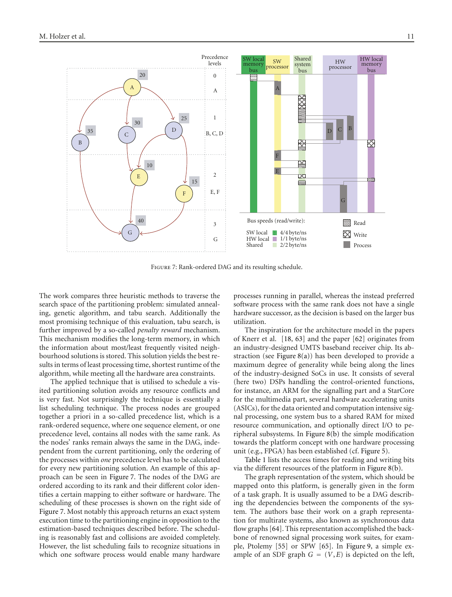

<span id="page-10-0"></span>Figure 7: Rank-ordered DAG and its resulting schedule.

The work compares three heuristic methods to traverse the search space of the partitioning problem: simulated annealing, genetic algorithm, and tabu search. Additionally the most promising technique of this evaluation, tabu search, is further improved by a so-called *penalty reward* mechanism. This mechanism modifies the long-term memory, in which the information about most/least frequently visited neighbourhood solutions is stored. This solution yields the best results in terms of least processing time, shortest runtime of the algorithm, while meeting all the hardware area constraints.

The applied technique that is utilised to schedule a visited partitioning solution avoids any resource conflicts and is very fast. Not surprisingly the technique is essentially a list scheduling technique. The process nodes are grouped together a priori in a so-called precedence list, which is a rank-ordered sequence, where one sequence element, or one precedence level, contains all nodes with the same rank. As the nodes' ranks remain always the same in the DAG, independent from the current partitioning, only the ordering of the processes within *one* precedence level has to be calculated for every new partitioning solution. An example of this approach can be seen in [Figure 7.](#page-10-0) The nodes of the DAG are ordered according to its rank and their different color identifies a certain mapping to either software or hardware. The scheduling of these processes is shown on the right side of [Figure 7.](#page-10-0) Most notably this approach returns an exact system execution time to the partitioning engine in opposition to the estimation-based techniques described before. The scheduling is reasonably fast and collisions are avoided completely. However, the list scheduling fails to recognize situations in which one software process would enable many hardware

processes running in parallel, whereas the instead preferred software process with the same rank does not have a single hardware successor, as the decision is based on the larger bus utilization.

The inspiration for the architecture model in the papers of Knerr et al. [\[18,](#page-15-10) [63\]](#page-16-22) and the paper [\[62](#page-16-21)] originates from an industry-designed UMTS baseband receiver chip. Its abstraction (see Figure  $8(a)$ ) has been developed to provide a maximum degree of generality while being along the lines of the industry-designed SoCs in use. It consists of several (here two) DSPs handling the control-oriented functions, for instance, an ARM for the signalling part and a StarCore for the multimedia part, several hardware accelerating units (ASICs), for the data oriented and computation intensive signal processing, one system bus to a shared RAM for mixed resource communication, and optionally direct I/O to peripheral subsystems. In [Figure 8\(b\)](#page-11-1) the simple modification towards the platform concept with one hardware processing unit (e.g., FPGA) has been established (cf. [Figure 5\)](#page-8-1).

[Table 1](#page-11-2) lists the access times for reading and writing bits via the different resources of the platform in [Figure 8\(b\).](#page-11-1)

The graph representation of the system, which should be mapped onto this platform, is generally given in the form of a task graph. It is usually assumed to be a DAG describing the dependencies between the components of the system. The authors base their work on a graph representation for multirate systems, also known as synchronous data flow graphs [\[64\]](#page-16-23). This representation accomplished the backbone of renowned signal processing work suites, for example, Ptolemy [\[55\]](#page-16-14) or SPW [\[65\]](#page-16-24). In [Figure 9,](#page-11-3) a simple example of an SDF graph  $G = (V, E)$  is depicted on the left,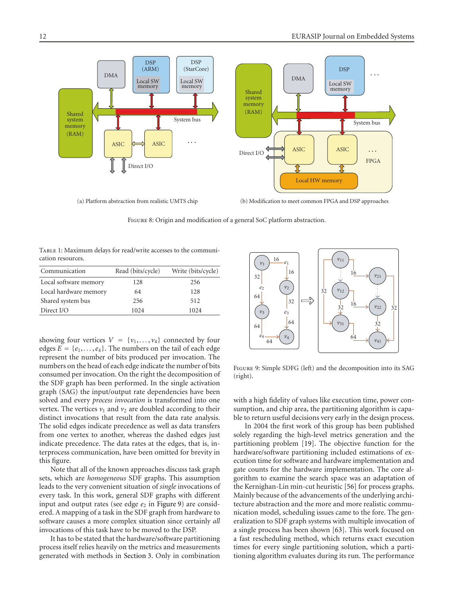<span id="page-11-1"></span><span id="page-11-0"></span>DSP DSP (ARM) (StarCore) DSP DMA a sa s DMA Local SW Local SW Local SW memory memory memory Shared system memory (RAM) Shared System bus system System bus memory (RAM) ASIC ASIC **ASIC** Direct I/O  $\begin{array}{|c|c|c|c|c|c|c|c|} \hline \end{array}$  ASIC  $\begin{array}{|c|c|c|c|c|c|c|c|} \hline \end{array}$  ASIC  $\begin{array}{|c|c|c|c|c|c|c|c|} \hline \end{array}$ FPGA Direct I/O ĴÇ Local HW memory

(a) Platform abstraction from realistic UMTS chip

(b) Modification to meet common FPGA and DSP approaches

Figure 8: Origin and modification of a general SoC platform abstraction.

<span id="page-11-2"></span>Table 1: Maximum delays for read/write accesses to the communication resources.

| Communication         | Read (bits/cycle) | Write (bits/cycle) |
|-----------------------|-------------------|--------------------|
| Local software memory | 128               | 256                |
| Local hardware memory | 64                | 128                |
| Shared system bus     | 256               | 512                |
| Direct I/O            | 1024              | 1024               |

showing four vertices  $V = \{v_1, \ldots, v_4\}$  connected by four edges  $E = \{e_1, \ldots, e_4\}$ . The numbers on the tail of each edge represent the number of bits produced per invocation. The numbers on the head of each edge indicate the number of bits consumed per invocation. On the right the decomposition of the SDF graph has been performed. In the single activation graph (SAG) the input/output rate dependencies have been solved and every *process invocation* is transformed into one vertex. The vertices  $v_1$  and  $v_2$  are doubled according to their distinct invocations that result from the data rate analysis. The solid edges indicate precedence as well as data transfers from one vertex to another, whereas the dashed edges just indicate precedence. The data rates at the edges, that is, interprocess communication, have been omitted for brevity in this figure.

Note that all of the known approaches discuss task graph sets, which are *homogeneous* SDF graphs. This assumption leads to the very convenient situation of *single* invocations of every task. In this work, general SDF graphs with different input and output rates (see edge  $e_2$  in [Figure 9\)](#page-11-3) are considered. A mapping of a task in the SDF graph from hardware to software causes a more complex situation since certainly *all* invocations of this task have to be moved to the DSP.

It has to be stated that the hardware/software partitioning process itself relies heavily on the metrics and measurements generated with methods in [Section 3.](#page-3-0) Only in combination



<span id="page-11-3"></span>Figure 9: Simple SDFG (left) and the decomposition into its SAG (right).

with a high fidelity of values like execution time, power consumption, and chip area, the partitioning algorithm is capable to return useful decisions very early in the design process.

In 2004 the first work of this group has been published solely regarding the high-level metrics generation and the partitioning problem [\[19\]](#page-15-11). The objective function for the hardware/software partitioning included estimations of execution time for software and hardware implementation and gate counts for the hardware implementation. The core algorithm to examine the search space was an adaptation of the Kernighan-Lin min-cut heuristic [\[56](#page-16-15)] for process graphs. Mainly because of the advancements of the underlying architecture abstraction and the more and more realistic communication model, scheduling issues came to the fore. The generalization to SDF graph systems with multiple invocation of a single process has been shown [\[63](#page-16-22)]. This work focused on a fast rescheduling method, which returns exact execution times for every single partitioning solution, which a partitioning algorithm evaluates during its run. The performance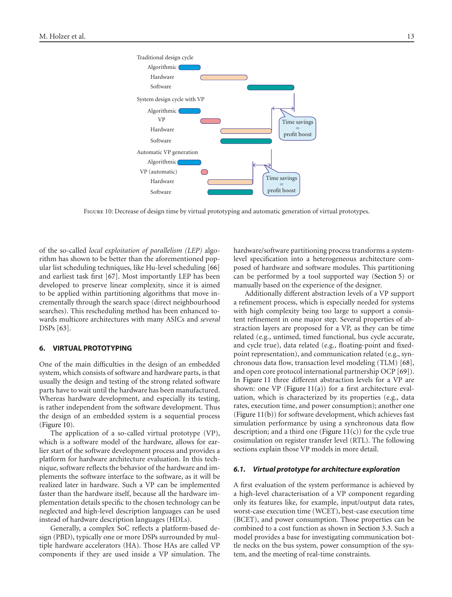

<span id="page-12-2"></span>Figure 10: Decrease of design time by virtual prototyping and automatic generation of virtual prototypes.

of the so-called *local exploitation of parallelism (LEP)* algorithm has shown to be better than the aforementioned popular list scheduling techniques, like Hu-level scheduling [\[66\]](#page-16-25) and earliest task first [\[67](#page-16-26)]. Most importantly LEP has been developed to preserve linear complexity, since it is aimed to be applied within partitioning algorithms that move incrementally through the search space (direct neighbourhood searches). This rescheduling method has been enhanced towards multicore architectures with many ASICs and *several* DSPs [\[63](#page-16-22)].

# <span id="page-12-0"></span>**6. VIRTUAL PROTOTYPING**

One of the main difficulties in the design of an embedded system, which consists of software and hardware parts, is that usually the design and testing of the strong related software parts have to wait until the hardware has been manufactured. Whereas hardware development, and especially its testing, is rather independent from the software development. Thus the design of an embedded system is a sequential process [\(Figure 10\)](#page-12-2).

The application of a so-called virtual prototype (VP), which is a software model of the hardware, allows for earlier start of the software development process and provides a platform for hardware architecture evaluation. In this technique, software reflects the behavior of the hardware and implements the software interface to the software, as it will be realized later in hardware. Such a VP can be implemented faster than the hardware itself, because all the hardware implementation details specific to the chosen technology can be neglected and high-level description languages can be used instead of hardware description languages (HDLs).

Generally, a complex SoC reflects a platform-based design (PBD), typically one or more DSPs surrounded by multiple hardware accelerators (HA). Those HAs are called VP components if they are used inside a VP simulation. The hardware/software partitioning process transforms a systemlevel specification into a heterogeneous architecture composed of hardware and software modules. This partitioning can be performed by a tool supported way [\(Section 5\)](#page-8-0) or manually based on the experience of the designer.

Additionally different abstraction levels of a VP support a refinement process, which is especially needed for systems with high complexity being too large to support a consistent refinement in one major step. Several properties of abstraction layers are proposed for a VP, as they can be time related (e.g., untimed, timed functional, bus cycle accurate, and cycle true), data related (e.g., floating-point and fixedpoint representation), and communication related (e.g., synchronous data flow, transaction level modeling (TLM) [\[68](#page-16-27)], and open core protocol international partnership OCP [\[69](#page-16-28)]). In [Figure 11](#page-13-0) three different abstraction levels for a VP are shown: one VP (Figure  $11(a)$ ) for a first architecture evaluation, which is characterized by its properties (e.g., data rates, execution time, and power consumption); another one [\(Figure 11\(b\)\)](#page-13-2) for software development, which achieves fast simulation performance by using a synchronous data flow description; and a third one (Figure  $11(c)$ ) for the cycle true cosimulation on register transfer level (RTL). The following sections explain those VP models in more detail.

#### <span id="page-12-1"></span>*6.1. Virtual prototype for architecture exploration*

A first evaluation of the system performance is achieved by a high-level characterisation of a VP component regarding only its features like, for example, input/output data rates, worst-case execution time (WCET), best-case execution time (BCET), and power consumption. Those properties can be combined to a cost function as shown in [Section 3.3.](#page-5-2) Such a model provides a base for investigating communication bottle necks on the bus system, power consumption of the system, and the meeting of real-time constraints.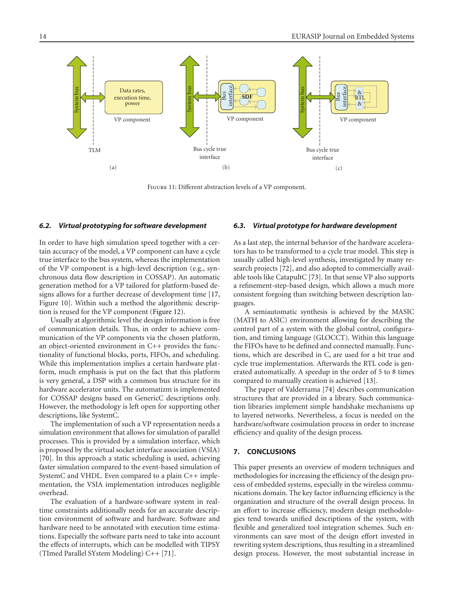<span id="page-13-2"></span><span id="page-13-1"></span>

<span id="page-13-3"></span><span id="page-13-0"></span>Figure 11: Different abstraction levels of a VP component.

#### *6.2. Virtual prototyping for software development*

In order to have high simulation speed together with a certain accuracy of the model, a VP component can have a cycle true interface to the bus system, whereas the implementation of the VP component is a high-level description (e.g., synchronous data flow description in COSSAP). An automatic generation method for a VP tailored for platform-based designs allows for a further decrease of development time [\[17,](#page-15-9) Figure 10]. Within such a method the algorithmic description is reused for the VP component [\(Figure 12\)](#page-14-8).

Usually at algorithmic level the design information is free of communication details. Thus, in order to achieve communication of the VP components via the chosen platform, an object-oriented environment in C++ provides the functionality of functional blocks, ports, FIFOs, and scheduling. While this implementation implies a certain hardware platform, much emphasis is put on the fact that this platform is very general, a DSP with a common bus structure for its hardware accelerator units. The automatizm is implemented for COSSAP designs based on GenericC descriptions only. However, the methodology is left open for supporting other descriptions, like SystemC.

The implementation of such a VP representation needs a simulation environment that allows for simulation of parallel processes. This is provided by a simulation interface, which is proposed by the virtual socket interface association (VSIA) [\[70](#page-16-29)]. In this approach a static scheduling is used, achieving faster simulation compared to the event-based simulation of SystemC and VHDL. Even compared to a plain C++ implementation, the VSIA implementation introduces negligible overhead.

The evaluation of a hardware-software system in realtime constraints additionally needs for an accurate description environment of software and hardware. Software and hardware need to be annotated with execution time estimations. Especially the software parts need to take into account the effects of interrupts, which can be modelled with TIPSY (TImed Parallel SYstem Modeling) C++ [\[71\]](#page-16-30).

#### *6.3. Virtual prototype for hardware development*

As a last step, the internal behavior of the hardware accelerators has to be transformed to a cycle true model. This step is usually called high-level synthesis, investigated by many research projects [\[72](#page-16-31)], and also adopted to commercially available tools like CatapultC [\[73\]](#page-16-32). In that sense VP also supports a refinement-step-based design, which allows a much more consistent forgoing than switching between description languages.

A semiautomatic synthesis is achieved by the MASIC (MATH to ASIC) environment allowing for describing the control part of a system with the global control, configuration, and timing language (GLOCCT). Within this language the FIFOs have to be defined and connected manually. Functions, which are described in C, are used for a bit true and cycle true implementation. Afterwards the RTL code is generated automatically. A speedup in the order of 5 to 8 times compared to manually creation is achieved [\[13\]](#page-15-5).

The paper of Valderrama [\[74](#page-17-0)] describes communication structures that are provided in a library. Such communication libraries implement simple handshake mechanisms up to layered networks. Nevertheless, a focus is needed on the hardware/software cosimulation process in order to increase efficiency and quality of the design process.

# **7. CONCLUSIONS**

This paper presents an overview of modern techniques and methodologies for increasing the efficiency of the design process of embedded systems, especially in the wireless communications domain. The key factor influencing efficiency is the organization and structure of the overall design process. In an effort to increase efficiency, modern design methodologies tend towards unified descriptions of the system, with flexible and generalized tool integration schemes. Such environments can save most of the design effort invested in rewriting system descriptions, thus resulting in a streamlined design process. However, the most substantial increase in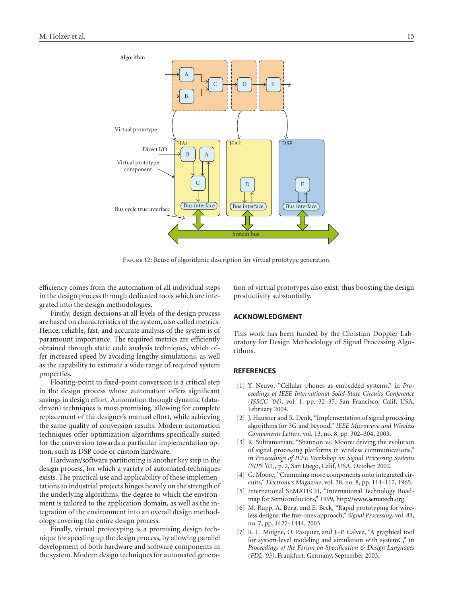

<span id="page-14-8"></span>Figure 12: Reuse of algorithmic description for virtual prototype generation.

efficiency comes from the automation of all individual steps in the design process through dedicated tools which are integrated into the design methodologies.

Firstly, design decisions at all levels of the design process are based on characteristics of the system, also called metrics. Hence, reliable, fast, and accurate analysis of the system is of paramount importance. The required metrics are efficiently obtained through static code analysis techniques, which offer increased speed by avoiding lengthy simulations, as well as the capability to estimate a wide range of required system properties.

Floating-point to fixed-point conversion is a critical step in the design process whose automation offers significant savings in design effort. Automation through dynamic (datadriven) techniques is most promising, allowing for complete replacement of the designer's manual effort, while achieving the same quality of conversion results. Modern automation techniques offer optimization algorithms specifically suited for the conversion towards a particular implementation option, such as DSP code or custom hardware.

Hardware/software partitioning is another key step in the design process, for which a variety of automated techniques exists. The practical use and applicability of these implementations to industrial projects hinges heavily on the strength of the underlying algorithms, the degree to which the environment is tailored to the application domain, as well as the integration of the environment into an overall design methodology covering the entire design process.

Finally, virtual prototyping is a promising design technique for speeding up the design process, by allowing parallel development of both hardware and software components in the system. Modern design techniques for automated generation of virtual prototypes also exist, thus boosting the design productivity substantially.

# **ACKNOWLEDGMENT**

This work has been funded by the Christian Doppler Laboratory for Design Methodology of Signal Processing Algorithms.

# <span id="page-14-1"></span><span id="page-14-0"></span>**REFERENCES**

- [1] Y. Neuvo, "Cellular phones as embedded systems," in *Proceedings of IEEE International Solid-State Circuits Conference (ISSCC '04)*, vol. 1, pp. 32–37, San Francisco, Calif, USA, February 2004.
- <span id="page-14-2"></span>[2] J. Hausner and R. Denk, "Implementation of signal processing algorithms for 3G and beyond," *IEEE Microwave and Wireless Components Letters*, vol. 13, no. 8, pp. 302–304, 2003.
- <span id="page-14-3"></span>[3] R. Subramanian, "Shannon vs. Moore: driving the evolution of signal processing platforms in wireless communications," in *Proceedings of IEEE Workshop on Signal Processing Systems (SIPS '02)*, p. 2, San Diego, Calif, USA, October 2002.
- <span id="page-14-4"></span>[4] G. Moore, "Cramming more components onto integrated circuits," *Electronics Magazine*, vol. 38, no. 8, pp. 114–117, 1965.
- <span id="page-14-5"></span>[5] International SEMATECH, "International Technology Roadmap for Semiconductors," 1999, [http://www.sematech.org.](http://www.sematech.org)
- <span id="page-14-6"></span>[6] M. Rupp, A. Burg, and E. Beck, "Rapid prototyping for wireless designs: the five-ones approach," *Signal Processing*, vol. 83, no. 7, pp. 1427–1444, 2003.
- <span id="page-14-7"></span>[7] R. L. Moigne, O. Pasquier, and J.-P. Calvez, "A graphical tool for system-level modeling and simulation with systemC," in *Proceedings of the Forum on Specification & Design Languages (FDL '03)*, Frankfurt, Germany, September 2003.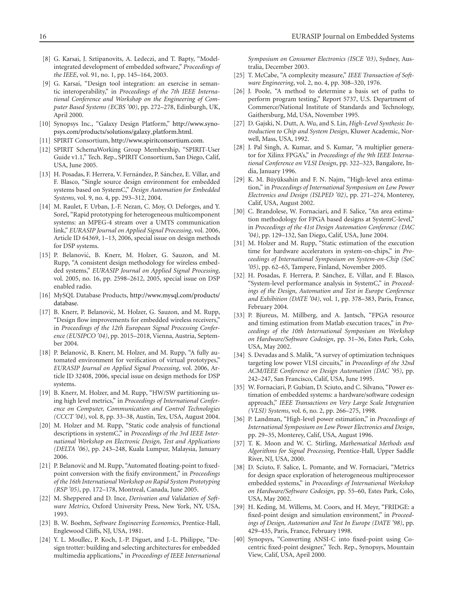- <span id="page-15-0"></span>[8] G. Karsai, J. Sztipanovits, A. Ledeczi, and T. Bapty, "Modelintegrated development of embedded software," *Proceedings of the IEEE*, vol. 91, no. 1, pp. 145–164, 2003.
- <span id="page-15-1"></span>[9] G. Karsai, "Design tool integration: an exercise in semantic interoperability," in *Proceedings of the 7th IEEE International Conference and Workshop on the Engineering of Computer Based Systems (ECBS '00)*, pp. 272–278, Edinburgh, UK, April 2000.
- <span id="page-15-2"></span>[10] Synopsys Inc., "Galaxy Design Platform," [http://www.syno](http://www.synopsys.com/products/solutions/galaxy_platform.html)[psys.com/products/solutions/galaxy](http://www.synopsys.com/products/solutions/galaxy_platform.html) platform.html.
- <span id="page-15-3"></span>[11] SPIRIT Consortium, [http://www.spiritconsortium.com.](http://www.spiritconsortium.com)
- <span id="page-15-4"></span>[12] SPIRIT SchemaWorking Group Membership, "SPIRIT-User Guide v1.1," Tech. Rep., SPIRIT Consortium, San Diego, Calif, USA, June 2005.
- <span id="page-15-5"></span>[13] H. Posadas, F. Herrera, V. Fernández, P. Sánchez, E. Villar, and F. Blasco, "Single source design environment for embedded systems based on SystemC," *Design Automation for Embedded Systems*, vol. 9, no. 4, pp. 293–312, 2004.
- <span id="page-15-6"></span>[14] M. Raulet, F. Urban, J.-F. Nezan, C. Moy, O. Deforges, and Y. Sorel, "Rapid prototyping for heterogeneous multicomponent systems: an MPEG-4 stream over a UMTS communication link," *EURASIP Journal on Applied Signal Processing*, vol. 2006, Article ID 64369, 1–13, 2006, special issue on design methods for DSP systems.
- <span id="page-15-7"></span>[15] P. Belanović, B. Knerr, M. Holzer, G. Sauzon, and M. Rupp, "A consistent design methodology for wireless embedded systems," *EURASIP Journal on Applied Signal Processing*, vol. 2005, no. 16, pp. 2598–2612, 2005, special issue on DSP enabled radio.
- <span id="page-15-8"></span>[16] MySQL Database Products, [http://www.mysql.com/products/](http://www.mysql.com/products/database) [database.](http://www.mysql.com/products/database)
- <span id="page-15-9"></span>[17] B. Knerr, P. Belanović, M. Holzer, G. Sauzon, and M. Rupp, "Design flow improvements for embedded wireless receivers," in *Proceedings of the 12th European Signal Processing Conference (EUSIPCO '04)*, pp. 2015–2018, Vienna, Austria, September 2004.
- <span id="page-15-10"></span>[18] P. Belanović, B. Knerr, M. Holzer, and M. Rupp, "A fully automated environment for verification of virtual prototypes," *EURASIP Journal on Applied Signal Processing*, vol. 2006, Article ID 32408, 2006, special issue on design methods for DSP systems.
- <span id="page-15-11"></span>[19] B. Knerr, M. Holzer, and M. Rupp, "HW/SW partitioning using high level metrics," in *Proceedings of International Conference on Computer, Communication and Control Technologies (CCCT '04)*, vol. 8, pp. 33–38, Austin, Tex, USA, August 2004.
- <span id="page-15-12"></span>[20] M. Holzer and M. Rupp, "Static code analysis of functional descriptions in systemC," in *Proceedings of the 3rd IEEE International Workshop on Electronic Design, Test and Applications (DELTA '06)*, pp. 243–248, Kuala Lumpur, Malaysia, January 2006.
- <span id="page-15-13"></span>[21] P. Belanović and M. Rupp, "Automated floating-point to fixedpoint conversion with the fixify environment," in *Proceedings of the 16th International Workshop on Rapid System Prototyping (RSP '05)*, pp. 172–178, Montreal, Canada, June 2005.
- <span id="page-15-14"></span>[22] M. Sheppered and D. Ince, *Derivation and Validation of Software Metrics*, Oxford University Press, New York, NY, USA, 1993.
- <span id="page-15-15"></span>[23] B. W. Boehm, *Software Engineering Economics*, Prentice-Hall, Englewood Cliffs, NJ, USA, 1981.
- <span id="page-15-16"></span>[24] Y. L. Moullec, P. Koch, J.-P. Diguet, and J.-L. Philippe, "Design trotter: building and selecting architectures for embedded multimedia applications," in *Proceedings of IEEE International*

*Symposium on Consumer Electronics (ISCE '03)*, Sydney, Australia, December 2003.

- <span id="page-15-17"></span>[25] T. McCabe, "A complexity measure," *IEEE Transaction of Software Engineering*, vol. 2, no. 4, pp. 308–320, 1976.
- <span id="page-15-18"></span>[26] J. Poole, "A method to determine a basis set of paths to perform program testing," Report 5737, U.S. Department of Commerce/National Institute of Standards and Technology, Gaithersburg, Md, USA, November 1995.
- <span id="page-15-19"></span>[27] D. Gajski, N. Dutt, A. Wu, and S. Lin, *High-Level Synthesis: Introduction to Chip and System Design*, Kluwer Academic, Norwell, Mass, USA, 1992.
- <span id="page-15-20"></span>[28] J. Pal Singh, A. Kumar, and S. Kumar, "A multiplier generator for Xilinx FPGA's," in *Proceedings of the 9th IEEE International Conference on VLSI Design*, pp. 322–323, Bangalore, India, January 1996.
- <span id="page-15-21"></span>[29] K. M. Büyüksahin and F. N. Najm, "High-level area estimation," in *Proceedings of International Symposium on Low Power Electronics and Design (ISLPED '02)*, pp. 271–274, Monterey, Calif, USA, August 2002.
- <span id="page-15-22"></span>[30] C. Brandolese, W. Fornaciari, and F. Salice, "An area estimation methodology for FPGA based designs at SystemC-level," in *Proceedings of the 41st Design Automation Conference (DAC '04)*, pp. 129–132, San Diego, Calif, USA, June 2004.
- <span id="page-15-23"></span>[31] M. Holzer and M. Rupp, "Static estimation of the execution time for hardware accelerators in system-on-chips," in *Proceedings of International Symposium on System-on-Chip (SoC '05)*, pp. 62–65, Tampere, Finland, November 2005.
- <span id="page-15-24"></span>[32] H. Posadas, F. Herrera, P. Sánchez, E. Villar, and F. Blasco, "System-level performance analysis in SystemC," in *Proceedings of the Design, Automation and Test in Europe Conference and Exhibition (DATE '04)*, vol. 1, pp. 378–383, Paris, France, February 2004.
- <span id="page-15-25"></span>[33] P. Bjureus, M. Millberg, and A. Jantsch, "FPGA resource and timing estimation from Matlab execution traces," in *Proceedings of the 10th International Symposium on Workshop on Hardware/Software Codesign*, pp. 31–36, Estes Park, Colo, USA, May 2002.
- <span id="page-15-26"></span>[34] S. Devadas and S. Malik, "A survey of optimization techniques targeting low power VLSI circuits," in *Proceedings of the 32nd ACM/IEEE Conference on Design Automation (DAC '95)*, pp. 242–247, San Francisco, Calif, USA, June 1995.
- <span id="page-15-27"></span>[35] W. Fornaciari, P. Gubian, D. Sciuto, and C. Silvano, "Power estimation of embedded systems: a hardware/software codesign approach," *IEEE Transactions on Very Large Scale Integration (VLSI) Systems*, vol. 6, no. 2, pp. 266–275, 1998.
- <span id="page-15-28"></span>[36] P. Landman, "High-level power estimation," in *Proceedings of International Symposium on Low Power Electronics and Design*, pp. 29–35, Monterey, Calif, USA, August 1996.
- <span id="page-15-29"></span>[37] T. K. Moon and W. C. Stirling, *Mathematical Methods and Algorithms for Signal Processing*, Prentice-Hall, Upper Saddle River, NJ, USA, 2000.
- <span id="page-15-30"></span>[38] D. Sciuto, F. Salice, L. Pomante, and W. Fornaciari, "Metrics for design space exploration of heterogeneous multiprocessor embedded systems," in *Proceedings of International Workshop on Hardware/Software Codesign*, pp. 55–60, Estes Park, Colo, USA, May 2002.
- <span id="page-15-31"></span>[39] H. Keding, M. Willems, M. Coors, and H. Meyr, "FRIDGE: a fixed-point design and simulation environment," in *Proceedings of Design, Automation and Test In Europe (DATE '98)*, pp. 429–435, Paris, France, February 1998.
- <span id="page-15-32"></span>[40] Synopsys, "Converting ANSI-C into fixed-point using Cocentric fixed-point designer," Tech. Rep., Synopsys, Mountain View, Calif, USA, April 2000.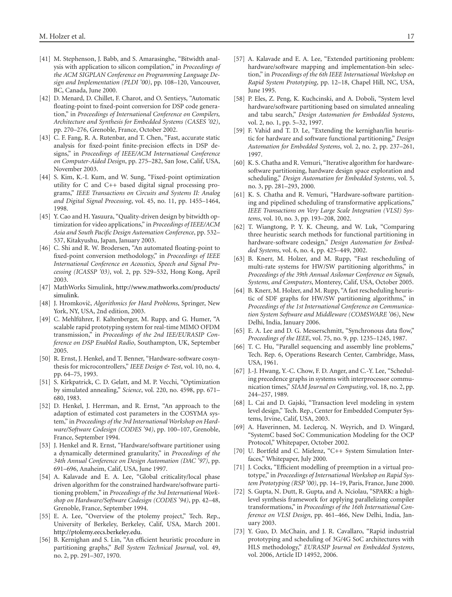- <span id="page-16-0"></span>[41] M. Stephenson, J. Babb, and S. Amarasinghe, "Bitwidth analysis with application to silicon compilation," in *Proceedings of the ACM SIGPLAN Conference on Programming Language Design and Implementation (PLDI '00)*, pp. 108–120, Vancouver, BC, Canada, June 2000.
- <span id="page-16-1"></span>[42] D. Menard, D. Chillet, F. Charot, and O. Sentieys, "Automatic floating-point to fixed-point conversion for DSP code generation," in *Proceedings of International Conference on Compilers, Architecture and Synthesis for Embedded Systems (CASES '02)*, pp. 270–276, Grenoble, France, October 2002.
- <span id="page-16-2"></span>[43] C. F. Fang, R. A. Rutenbar, and T. Chen, "Fast, accurate static analysis for fixed-point finite-precision effects in DSP designs," in *Proceedings of IEEE/ACM International Conference on Computer-Aided Design*, pp. 275–282, San Jose, Calif, USA, November 2003.
- <span id="page-16-3"></span>[44] S. Kim, K.-I. Kum, and W. Sung, "Fixed-point optimization utility for C and C++ based digital signal processing programs," *IEEE Transactions on Circuits and Systems II: Analog and Digital Signal Processing*, vol. 45, no. 11, pp. 1455–1464, 1998.
- <span id="page-16-4"></span>[45] Y. Cao and H. Yasuura, "Quality-driven design by bitwidth optimization for video applications," in *Proceedings of IEEE/ACM Asia and South Pacific Design Automation Conference*, pp. 532– 537, Kitakyushu, Japan, January 2003.
- <span id="page-16-5"></span>[46] C. Shi and R. W. Brodersen, "An automated floating-point to fixed-point conversion methodology," in *Proceedings of IEEE International Conference on Acoustics, Speech and Signal Processing (ICASSP '03)*, vol. 2, pp. 529–532, Hong Kong, April 2003.
- <span id="page-16-6"></span>[47] MathWorks Simulink, [http://www.mathworks.com/products/](http://www.mathworks.com/products/simulink) [simulink.](http://www.mathworks.com/products/simulink)
- <span id="page-16-7"></span>[48] J. Hromkovič, *Algorithmics for Hard Problems*, Springer, New York, NY, USA, 2nd edition, 2003.
- <span id="page-16-8"></span>[49] C. Mehlführer, F. Kaltenberger, M. Rupp, and G. Humer, "A scalable rapid prototyping system for real-time MIMO OFDM transmission," in *Proceedings of the 2nd IEE/EURASIP Conference on DSP Enabled Radio*, Southampton, UK, September 2005.
- <span id="page-16-9"></span>[50] R. Ernst, J. Henkel, and T. Benner, "Hardware-software cosynthesis for microcontrollers," *IEEE Design & Test*, vol. 10, no. 4, pp. 64–75, 1993.
- <span id="page-16-10"></span>[51] S. Kirkpatrick, C. D. Gelatt, and M. P. Vecchi, "Optimization by simulated annealing," *Science*, vol. 220, no. 4598, pp. 671– 680, 1983.
- <span id="page-16-11"></span>[52] D. Henkel, J. Herrman, and R. Ernst, "An approach to the adaption of estimated cost parameters in the COSYMA system," in *Proceedings of the 3rd International Workshop on Hardware/Software Codesign (CODES '94)*, pp. 100–107, Grenoble, France, September 1994.
- <span id="page-16-12"></span>[53] J. Henkel and R. Ernst, "Hardware/software partitioner using a dynamically determined granularity," in *Proceedings of the 34th Annual Conference on Design Automation (DAC '97)*, pp. 691–696, Anaheim, Calif, USA, June 1997.
- <span id="page-16-13"></span>[54] A. Kalavade and E. A. Lee, "Global criticality/local phase driven algorithm for the constrained hardware/software partitioning problem," in *Proceedings of the 3rd International Workshop on Hardware/Software Codesign (CODES '94)*, pp. 42–48, Grenoble, France, September 1994.
- <span id="page-16-14"></span>[55] E. A. Lee, "Overview of the ptolemy project," Tech. Rep., University of Berkeley, Berkeley, Calif, USA, March 2001. [http://ptolemy.eecs.berkeley.edu.](http://ptolemy.eecs.berkeley.edu)
- <span id="page-16-15"></span>[56] B. Kernighan and S. Lin, "An efficient heuristic procedure in partitioning graphs," *Bell System Technical Journal*, vol. 49, no. 2, pp. 291–307, 1970.
- <span id="page-16-16"></span>[57] A. Kalavade and E. A. Lee, "Extended partitioning problem: hardware/software mapping and implementation-bin selection," in *Proceedings of the 6th IEEE International Workshop on Rapid System Prototyping*, pp. 12–18, Chapel Hill, NC, USA, June 1995.
- <span id="page-16-17"></span>[58] P. Eles, Z. Peng, K. Kuchcinski, and A. Doboli, "System level hardware/software partitioning based on simulated annealing and tabu search," *Design Automation for Embedded Systems*, vol. 2, no. 1, pp. 5–32, 1997.
- <span id="page-16-18"></span>[59] F. Vahid and T. D. Le, "Extending the kernighan/lin heuristic for hardware and software functional partitioning," *Design Automation for Embedded Systems*, vol. 2, no. 2, pp. 237–261, 1997.
- <span id="page-16-19"></span>[60] K. S. Chatha and R. Vemuri, "Iterative algorithm for hardwaresoftware partitioning, hardware design space exploration and scheduling," *Design Automation for Embedded Systems*, vol. 5, no. 3, pp. 281–293, 2000.
- <span id="page-16-20"></span>[61] K. S. Chatha and R. Vemuri, "Hardware-software partitioning and pipelined scheduling of transformative applications," *IEEE Transactions on Very Large Scale Integration (VLSI) Systems*, vol. 10, no. 3, pp. 193–208, 2002.
- <span id="page-16-21"></span>[62] T. Wiangtong, P. Y. K. Cheung, and W. Luk, "Comparing three heuristic search methods for functional partitioning in hardware-software codesign," *Design Automation for Embedded Systems*, vol. 6, no. 4, pp. 425–449, 2002.
- <span id="page-16-22"></span>[63] B. Knerr, M. Holzer, and M. Rupp, "Fast rescheduling of multi-rate systems for HW/SW partitioning algorithms," in *Proceedings of the 39th Annual Asilomar Conference on Signals, Systems, and Computers*, Monterey, Calif, USA, October 2005.
- <span id="page-16-23"></span>[64] B. Knerr, M. Holzer, and M. Rupp, "A fast rescheduling heuristic of SDF graphs for HW/SW partitioning algorithms," in *Proceedings of the 1st International Conference on Communication System Software and Middleware (COMSWARE '06)*, New Delhi, India, January 2006.
- <span id="page-16-24"></span>[65] E. A. Lee and D. G. Messerschmitt, "Synchronous data flow," *Proceedings of the IEEE*, vol. 75, no. 9, pp. 1235–1245, 1987.
- <span id="page-16-25"></span>[66] T. C. Hu, "Parallel sequencing and assembly line problems," Tech. Rep. 6, Operations Research Center, Cambridge, Mass, USA, 1961.
- <span id="page-16-26"></span>[67] J.-J. Hwang, Y.-C. Chow, F. D. Anger, and C.-Y. Lee, "Scheduling precedence graphs in systems with interprocessor communication times," *SIAM Journal on Computing*, vol. 18, no. 2, pp. 244–257, 1989.
- <span id="page-16-27"></span>[68] L. Cai and D. Gajski, "Transaction level modeling in system level design," Tech. Rep., Center for Embedded Computer Systems, Irvine, Calif, USA, 2003.
- <span id="page-16-28"></span>[69] A. Haverinnen, M. Leclercq, N. Weyrich, and D. Wingard, "SystemC based SoC Communication Modeling for the OCP Protocol," Whitepaper, October 2002.
- <span id="page-16-29"></span>[70] U. Bortfeld and C. Mielenz, "C++ System Simulation Interfaces," Whitepaper, July 2000.
- <span id="page-16-30"></span>[71] J. Cockx, "Efficient modelling of preemption in a virtual prototype," in *Proceedings of International Workshop on Rapid System Prototyping (RSP '00)*, pp. 14–19, Paris, France, June 2000.
- <span id="page-16-31"></span>[72] S. Gupta, N. Dutt, R. Gupta, and A. Nciolau, "SPARK: a highlevel synthesis framework for applying parallelizing compiler transformations," in *Proceedings of the 16th International Conference on VLSI Design*, pp. 461–466, New Delhi, India, January 2003.
- <span id="page-16-32"></span>[73] Y. Guo, D. McChain, and J. R. Cavallaro, "Rapid industrial prototyping and scheduling of 3G/4G SoC architectures with HLS methodology," *EURASIP Journal on Embedded Systems*, vol. 2006, Article ID 14952, 2006.